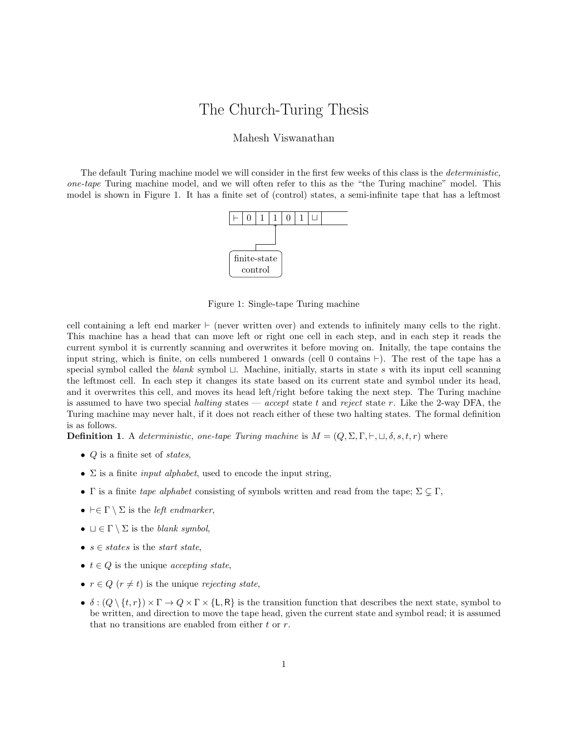# The Church-Turing Thesis

#### Mahesh Viswanathan

The default Turing machine model we will consider in the first few weeks of this class is the deterministic, one-tape Turing machine model, and we will often refer to this as the "the Turing machine" model. This model is shown in Figure 1. It has a finite set of (control) states, a semi-infinite tape that has a leftmost



Figure 1: Single-tape Turing machine

cell containing a left end marker  $\vdash$  (never written over) and extends to infinitely many cells to the right. This machine has a head that can move left or right one cell in each step, and in each step it reads the current symbol it is currently scanning and overwrites it before moving on. Initally, the tape contains the input string, which is finite, on cells numbered 1 onwards (cell 0 contains  $\vdash$ ). The rest of the tape has a special symbol called the blank symbol  $\sqcup$ . Machine, initially, starts in state s with its input cell scanning the leftmost cell. In each step it changes its state based on its current state and symbol under its head, and it overwrites this cell, and moves its head left/right before taking the next step. The Turing machine is assumed to have two special halting states — accept state t and reject state r. Like the 2-way DFA, the Turing machine may never halt, if it does not reach either of these two halting states. The formal definition is as follows.

**Definition 1.** A deterministic, one-tape Turing machine is  $M = (Q, \Sigma, \Gamma, \vdash, \sqcup, \delta, s, t, r)$  where

- $Q$  is a finite set of states,
- $\Sigma$  is a finite *input alphabet*, used to encode the input string,
- Γ is a finite tape alphabet consisting of symbols written and read from the tape;  $\Sigma \subset \Gamma$ ,
- $\vdash \in \Gamma \setminus \Sigma$  is the *left endmarker*,
- $\Box \in \Gamma \setminus \Sigma$  is the blank symbol,
- $s \in states$  is the *start state*,
- $t \in Q$  is the unique *accepting state*,
- $r \in Q$  ( $r \neq t$ ) is the unique rejecting state,
- $\delta : (Q \setminus \{t, r\}) \times \Gamma \to Q \times \Gamma \times \{L, R\}$  is the transition function that describes the next state, symbol to be written, and direction to move the tape head, given the current state and symbol read; it is assumed that no transitions are enabled from either  $t$  or  $r$ .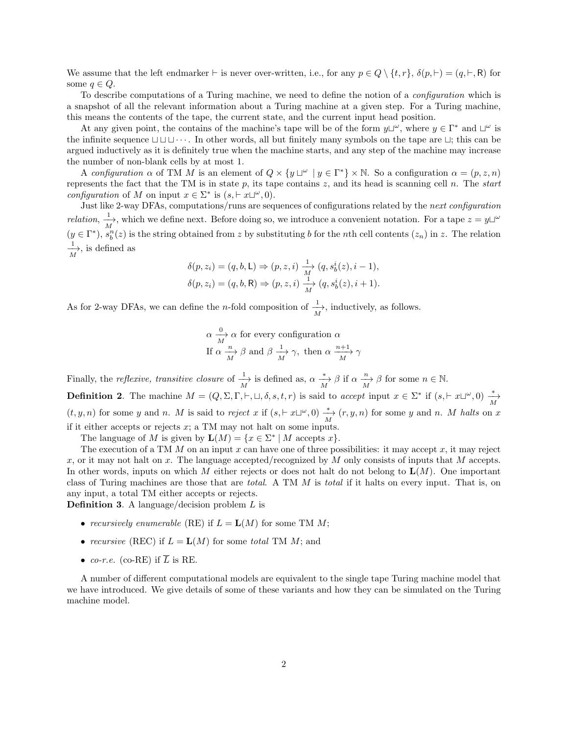We assume that the left endmarker  $\vdash$  is never over-written, i.e., for any  $p \in Q \setminus \{t, r\}, \delta(p, \vdash) = (q, \vdash, R)$  for some  $q \in Q$ .

To describe computations of a Turing machine, we need to define the notion of a configuration which is a snapshot of all the relevant information about a Turing machine at a given step. For a Turing machine, this means the contents of the tape, the current state, and the current input head position.

At any given point, the contains of the machine's tape will be of the form  $y\Box^{\omega}$ , where  $y \in \Gamma^*$  and  $\Box^{\omega}$  is the infinite sequence  $\Box \Box \Box \cdots$ . In other words, all but finitely many symbols on the tape are  $\Box$ ; this can be argued inductively as it is definitely true when the machine starts, and any step of the machine may increase the number of non-blank cells by at most 1.

A configuration  $\alpha$  of TM M is an element of  $Q \times \{y \sqcup^{\omega} \mid y \in \Gamma^*\} \times \mathbb{N}$ . So a configuration  $\alpha = (p, z, n)$ represents the fact that the TM is in state  $p$ , its tape contains  $z$ , and its head is scanning cell  $n$ . The start configuration of M on input  $x \in \Sigma^*$  is  $(s, \vdash x \sqcup^{\omega}, 0)$ .

Just like 2-way DFAs, computations/runs are sequences of configurations related by the next configuration *relation*,  $\frac{1}{M}$ , which we define next. Before doing so, we introduce a convenient notation. For a tape  $z = y \sqcup^{\omega}$  $(y \in \Gamma^*)$ ,  $s_b^n(z)$  is the string obtained from z by substituting b for the nth cell contents  $(z_n)$  in z. The relation  $\frac{1}{M}$ , is defined as

$$
\delta(p, z_i) = (q, b, L) \Rightarrow (p, z, i) \xrightarrow[M]{1} (q, s_b^i(z), i - 1),
$$
  

$$
\delta(p, z_i) = (q, b, R) \Rightarrow (p, z, i) \xrightarrow[M]{1} (q, s_b^i(z), i + 1).
$$

As for 2-way DFAs, we can define the *n*-fold composition of  $\frac{1}{M}$ , inductively, as follows.

$$
\alpha \frac{\alpha}{M} \alpha
$$
 for every configuration  $\alpha$   
If  $\alpha \frac{n}{M}$   $\beta$  and  $\beta \frac{1}{M}$   $\gamma$ , then  $\alpha \frac{n+1}{M} \gamma$ 

Finally, the *reflexive*, transitive closure of  $\frac{1}{M}$  is defined as,  $\alpha \xrightarrow[M]{} \beta$  if  $\alpha \xrightarrow[M]{} \beta$  for some  $n \in \mathbb{N}$ . **Definition 2.** The machine  $M = (Q, \Sigma, \Gamma, \vdash, \sqcup, \delta, s, t, r)$  is said to accept input  $x \in \Sigma^*$  if  $(s, \vdash x \sqcup^{\omega}, 0) \frac{*}{M}$  $(t, y, n)$  for some y and n. M is said to reject x if  $(s, \vdash x \sqcup^{\omega}, 0) \stackrel{*}{\underset{M}{\longrightarrow}} (r, y, n)$  for some y and n. M halts on x if it either accepts or rejects  $x$ ; a TM may not halt on some inputs.

The language of M is given by  $\mathbf{L}(M) = \{x \in \Sigma^* | M \text{ accepts } x\}.$ 

The execution of a TM  $M$  on an input  $x$  can have one of three possibilities: it may accept  $x$ , it may reject x, or it may not halt on x. The language accepted/recognized by M only consists of inputs that M accepts. In other words, inputs on which M either rejects or does not halt do not belong to  $\mathbf{L}(M)$ . One important class of Turing machines are those that are total. A TM M is total if it halts on every input. That is, on any input, a total TM either accepts or rejects.

**Definition 3.** A language/decision problem  $L$  is

- recursively enumerable (RE) if  $L = L(M)$  for some TM M;
- recursive (REC) if  $L = L(M)$  for some total TM M; and
- co-r.e. (co-RE) if  $\overline{L}$  is RE.

A number of different computational models are equivalent to the single tape Turing machine model that we have introduced. We give details of some of these variants and how they can be simulated on the Turing machine model.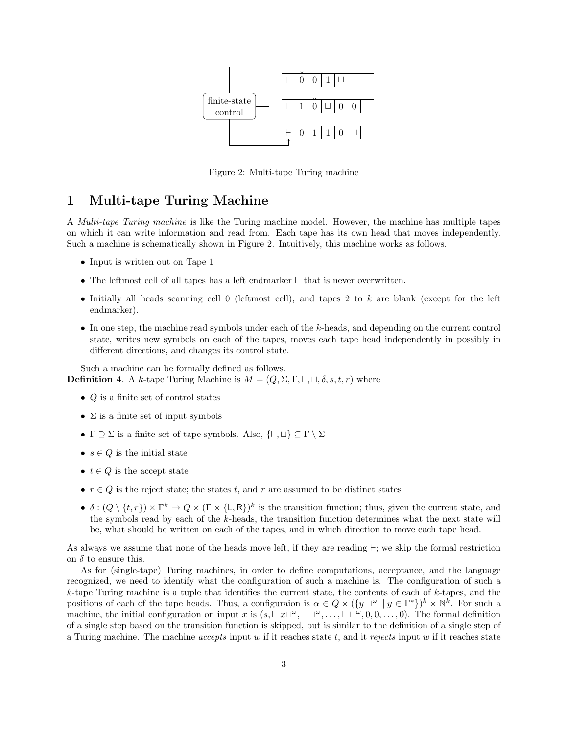

Figure 2: Multi-tape Turing machine

## 1 Multi-tape Turing Machine

A Multi-tape Turing machine is like the Turing machine model. However, the machine has multiple tapes on which it can write information and read from. Each tape has its own head that moves independently. Such a machine is schematically shown in Figure 2. Intuitively, this machine works as follows.

- Input is written out on Tape 1
- The leftmost cell of all tapes has a left endmarker  $\vdash$  that is never overwritten.
- Initially all heads scanning cell 0 (leftmost cell), and tapes 2 to k are blank (except for the left endmarker).
- In one step, the machine read symbols under each of the k-heads, and depending on the current control state, writes new symbols on each of the tapes, moves each tape head independently in possibly in different directions, and changes its control state.

Such a machine can be formally defined as follows. **Definition 4.** A k-tape Turing Machine is  $M = (Q, \Sigma, \Gamma, \vdash, \sqcup, \delta, s, t, r)$  where

- $Q$  is a finite set of control states
- $\Sigma$  is a finite set of input symbols
- $\Gamma \supseteq \Sigma$  is a finite set of tape symbols. Also,  $\{\vdash, \sqcup\} \subseteq \Gamma \setminus \Sigma$
- $s \in Q$  is the initial state
- $t \in Q$  is the accept state
- $r \in Q$  is the reject state; the states t, and r are assumed to be distinct states
- $\delta: (Q \setminus \{t, r\}) \times \Gamma^k \to Q \times (\Gamma \times \{L, R\})^k$  is the transition function; thus, given the current state, and the symbols read by each of the  $k$ -heads, the transition function determines what the next state will be, what should be written on each of the tapes, and in which direction to move each tape head.

As always we assume that none of the heads move left, if they are reading  $\vdash$ ; we skip the formal restriction on  $\delta$  to ensure this.

As for (single-tape) Turing machines, in order to define computations, acceptance, and the language recognized, we need to identify what the configuration of such a machine is. The configuration of such a  $k$ -tape Turing machine is a tuple that identifies the current state, the contents of each of  $k$ -tapes, and the positions of each of the tape heads. Thus, a configuraion is  $\alpha \in Q \times (\{y \sqcup^{\omega} \mid y \in \Gamma^*\})^k \times \mathbb{N}^k$ . For such a machine, the initial configuration on input x is  $(s, \vdash x \sqcup^{\omega}, \vdash \sqcup^{\omega}, \ldots, \vdash \sqcup^{\omega}, 0, 0, \ldots, 0)$ . The formal definition of a single step based on the transition function is skipped, but is similar to the definition of a single step of a Turing machine. The machine *accepts* input w if it reaches state  $t$ , and it rejects input w if it reaches state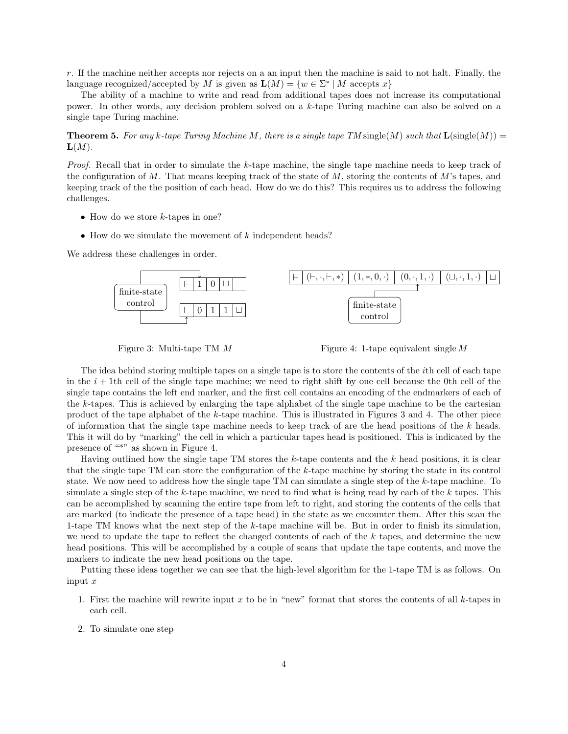r. If the machine neither accepts nor rejects on a an input then the machine is said to not halt. Finally, the language recognized/accepted by M is given as  $\mathbf{L}(M) = \{w \in \Sigma^* | M \text{ accepts } x\}$ 

The ability of a machine to write and read from additional tapes does not increase its computational power. In other words, any decision problem solved on a k-tape Turing machine can also be solved on a single tape Turing machine.

**Theorem 5.** For any k-tape Turing Machine M, there is a single tape TM single(M) such that  $\mathbf{L}(\text{single}(M)) =$  $\mathbf{L}(M)$ .

Proof. Recall that in order to simulate the k-tape machine, the single tape machine needs to keep track of the configuration of M. That means keeping track of the state of  $M$ , storing the contents of  $M$ 's tapes, and keeping track of the the position of each head. How do we do this? This requires us to address the following challenges.

- How do we store  $k$ -tapes in one?
- How do we simulate the movement of  $k$  independent heads?

We address these challenges in order.



Figure 3: Multi-tape TM M

Figure 4: 1-tape equivalent single M

The idea behind storing multiple tapes on a single tape is to store the contents of the ith cell of each tape in the  $i + 1$ th cell of the single tape machine; we need to right shift by one cell because the 0th cell of the single tape contains the left end marker, and the first cell contains an encoding of the endmarkers of each of the k-tapes. This is achieved by enlarging the tape alphabet of the single tape machine to be the cartesian product of the tape alphabet of the k-tape machine. This is illustrated in Figures 3 and 4. The other piece of information that the single tape machine needs to keep track of are the head positions of the k heads. This it will do by "marking" the cell in which a particular tapes head is positioned. This is indicated by the presence of "\*" as shown in Figure 4.

Having outlined how the single tape TM stores the  $k$ -tape contents and the  $k$  head positions, it is clear that the single tape TM can store the configuration of the k-tape machine by storing the state in its control state. We now need to address how the single tape TM can simulate a single step of the k-tape machine. To simulate a single step of the k-tape machine, we need to find what is being read by each of the k tapes. This can be accomplished by scanning the entire tape from left to right, and storing the contents of the cells that are marked (to indicate the presence of a tape head) in the state as we encounter them. After this scan the 1-tape TM knows what the next step of the k-tape machine will be. But in order to finish its simulation, we need to update the tape to reflect the changed contents of each of the  $k$  tapes, and determine the new head positions. This will be accomplished by a couple of scans that update the tape contents, and move the markers to indicate the new head positions on the tape.

Putting these ideas together we can see that the high-level algorithm for the 1-tape TM is as follows. On input  $x$ 

- 1. First the machine will rewrite input x to be in "new" format that stores the contents of all  $k$ -tapes in each cell.
- 2. To simulate one step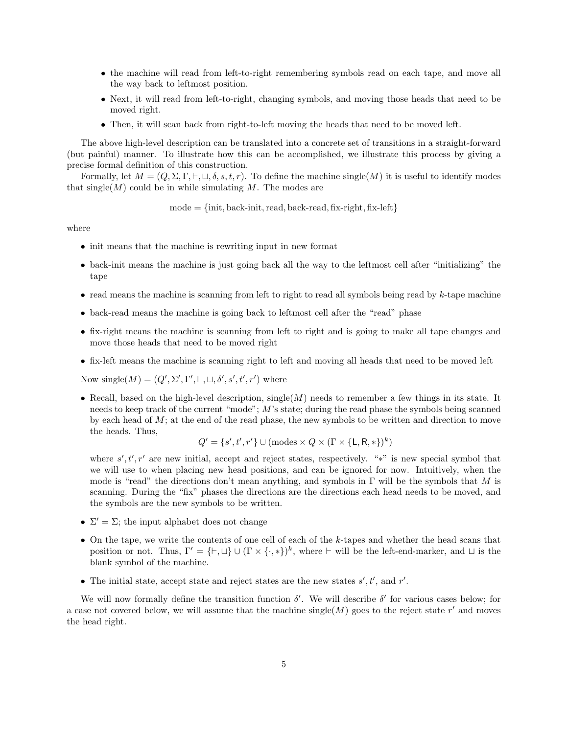- the machine will read from left-to-right remembering symbols read on each tape, and move all the way back to leftmost position.
- Next, it will read from left-to-right, changing symbols, and moving those heads that need to be moved right.
- Then, it will scan back from right-to-left moving the heads that need to be moved left.

The above high-level description can be translated into a concrete set of transitions in a straight-forward (but painful) manner. To illustrate how this can be accomplished, we illustrate this process by giving a precise formal definition of this construction.

Formally, let  $M = (Q, \Sigma, \Gamma, \vdash, \sqcup, \delta, s, t, r)$ . To define the machine single(M) it is useful to identify modes that  $\operatorname{single}(M)$  could be in while simulating M. The modes are

 $mode = \{init, back-int, read, back-read, fix-right, fix-left\}$ 

where

- init means that the machine is rewriting input in new format
- back-init means the machine is just going back all the way to the leftmost cell after "initializing" the tape
- read means the machine is scanning from left to right to read all symbols being read by  $k$ -tape machine
- back-read means the machine is going back to leftmost cell after the "read" phase
- fix-right means the machine is scanning from left to right and is going to make all tape changes and move those heads that need to be moved right
- fix-left means the machine is scanning right to left and moving all heads that need to be moved left

Now single( $M$ ) = ( $Q'$ ,  $\Sigma'$ ,  $\Gamma'$ ,  $\vdash$ ,  $\sqcup$ ,  $\delta'$ ,  $s'$ ,  $t'$ ,  $r'$ ) where

• Recall, based on the high-level description, single( $M$ ) needs to remember a few things in its state. It needs to keep track of the current "mode"; M's state; during the read phase the symbols being scanned by each head of  $M$ ; at the end of the read phase, the new symbols to be written and direction to move the heads. Thus,

$$
Q' = \{s', t', r'\} \cup (\text{modes} \times Q \times (\Gamma \times \{\text{L}, \text{R}, *\})^k)
$$

where  $s', t', r'$  are new initial, accept and reject states, respectively. "\*" is new special symbol that we will use to when placing new head positions, and can be ignored for now. Intuitively, when the mode is "read" the directions don't mean anything, and symbols in  $\Gamma$  will be the symbols that M is scanning. During the "fix" phases the directions are the directions each head needs to be moved, and the symbols are the new symbols to be written.

- $\Sigma' = \Sigma$ ; the input alphabet does not change
- $\bullet$  On the tape, we write the contents of one cell of each of the k-tapes and whether the head scans that position or not. Thus,  $\Gamma' = \{\vdash, \sqcup\} \cup (\Gamma \times \{\cdot, *\})^k$ , where  $\vdash$  will be the left-end-marker, and  $\sqcup$  is the blank symbol of the machine.
- The initial state, accept state and reject states are the new states  $s', t'$ , and  $r'$ .

We will now formally define the transition function  $\delta'$ . We will describe  $\delta'$  for various cases below; for a case not covered below, we will assume that the machine single(M) goes to the reject state  $r'$  and moves the head right.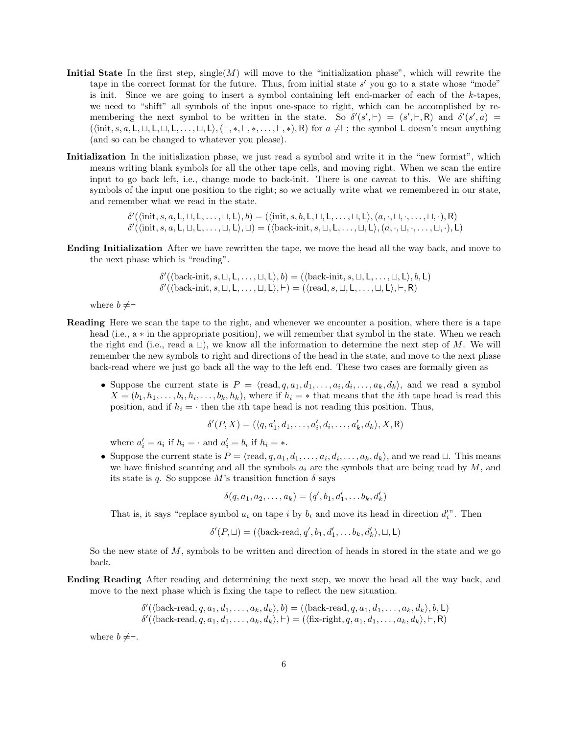- Initial State In the first step,  $\text{single}(M)$  will move to the "initialization phase", which will rewrite the tape in the correct format for the future. Thus, from initial state  $s'$  you go to a state whose "mode" is init. Since we are going to insert a symbol containing left end-marker of each of the k-tapes, we need to "shift" all symbols of the input one-space to right, which can be accomplished by remembering the next symbol to be written in the state. So  $\delta'(s', \vdash) = (s', \vdash, R)$  and  $\delta'(s', a) =$  $(\langle \text{init}, s, a, L, \sqcup, L, \sqcup, L, \ldots, \sqcup, L \rangle, (\vdash, *, \vdash, *, \ldots, \vdash, *,), \mathsf{R})$  for  $a \neq \vdash$ ; the symbol L doesn't mean anything (and so can be changed to whatever you please).
- Initialization In the initialization phase, we just read a symbol and write it in the "new format", which means writing blank symbols for all the other tape cells, and moving right. When we scan the entire input to go back left, i.e., change mode to back-init. There is one caveat to this. We are shifting symbols of the input one position to the right; so we actually write what we remembered in our state, and remember what we read in the state.

 $\delta'(\langle \text{init}, s, a, L, \sqcup, L, \ldots, \sqcup, L \rangle, b) = (\langle \text{init}, s, b, L, \sqcup, L, \ldots, \sqcup, L \rangle, (a, \cdot, \sqcup, \cdot, \ldots, \sqcup, \cdot), R)$  $\delta'(\langle \text{init}, s, a, L, \sqcup, L, \ldots, \sqcup, L \rangle, \sqcup) = (\langle \text{back-int}, s, \sqcup, L, \ldots, \sqcup, L \rangle, (a, \cdot, \sqcup, \cdot, \ldots, \sqcup, \cdot), L)$ 

Ending Initialization After we have rewritten the tape, we move the head all the way back, and move to the next phase which is "reading".

$$
\delta'(\langle \text{back-init}, s, \sqcup, L, \ldots, \sqcup, L \rangle, b) = (\langle \text{back-unit}, s, \sqcup, L, \ldots, \sqcup, L \rangle, b, L) \n\delta'(\langle \text{back-unit}, s, \sqcup, L, \ldots, \sqcup, L \rangle, \vdash) = (\langle \text{read}, s, \sqcup, L, \ldots, \sqcup, L \rangle, \vdash, R)
$$

where  $b \neq \vdash$ 

- Reading Here we scan the tape to the right, and whenever we encounter a position, where there is a tape head (i.e., a ∗ in the appropriate position), we will remember that symbol in the state. When we reach the right end (i.e., read a  $\Box$ ), we know all the information to determine the next step of M. We will remember the new symbols to right and directions of the head in the state, and move to the next phase back-read where we just go back all the way to the left end. These two cases are formally given as
	- Suppose the current state is  $P = \langle \text{read}, q, a_1, d_1, \ldots, a_i, d_i, \ldots, a_k, d_k \rangle$ , and we read a symbol  $X = (b_1, h_1, \ldots, b_i, h_i, \ldots, b_k, h_k)$ , where if  $h_i = *$  that means that the *i*th tape head is read this position, and if  $h_i = \cdot$  then the *i*th tape head is not reading this position. Thus,

$$
\delta'(P, X) = (\langle q, a'_1, d_1, \dots, a'_i, d_i, \dots, a'_k, d_k \rangle, X, R)
$$

where  $a'_i = a_i$  if  $h_i = \cdot$  and  $a'_i = b_i$  if  $h_i = *$ .

• Suppose the current state is  $P = \langle \text{read}, q, a_1, d_1, \ldots, a_i, d_i, \ldots, a_k, d_k \rangle$ , and we read  $\sqcup$ . This means we have finished scanning and all the symbols  $a_i$  are the symbols that are being read by  $M$ , and its state is q. So suppose M's transition function  $\delta$  says

$$
\delta(q, a_1, a_2, \dots, a_k) = (q', b_1, d'_1, \dots, b_k, d'_k)
$$

That is, it says "replace symbol  $a_i$  on tape i by  $b_i$  and move its head in direction  $d_i''$ . Then

$$
\delta'(P, \sqcup) = (\langle \text{back-read}, q', b_1, d_1', \ldots b_k, d_k' \rangle, \sqcup, \mathsf{L})
$$

So the new state of  $M$ , symbols to be written and direction of heads in stored in the state and we go back.

Ending Reading After reading and determining the next step, we move the head all the way back, and move to the next phase which is fixing the tape to reflect the new situation.

$$
\delta'(\langle \text{back-read}, q, a_1, d_1, \dots, a_k, d_k \rangle, b) = (\langle \text{back-read}, q, a_1, d_1, \dots, a_k, d_k \rangle, b, L)
$$

$$
\delta'(\langle \text{back-read}, q, a_1, d_1, \dots, a_k, d_k \rangle, \vdash) = (\langle \text{fix-right}, q, a_1, d_1, \dots, a_k, d_k \rangle, \vdash, R)
$$

where  $b \neq \vdash$ .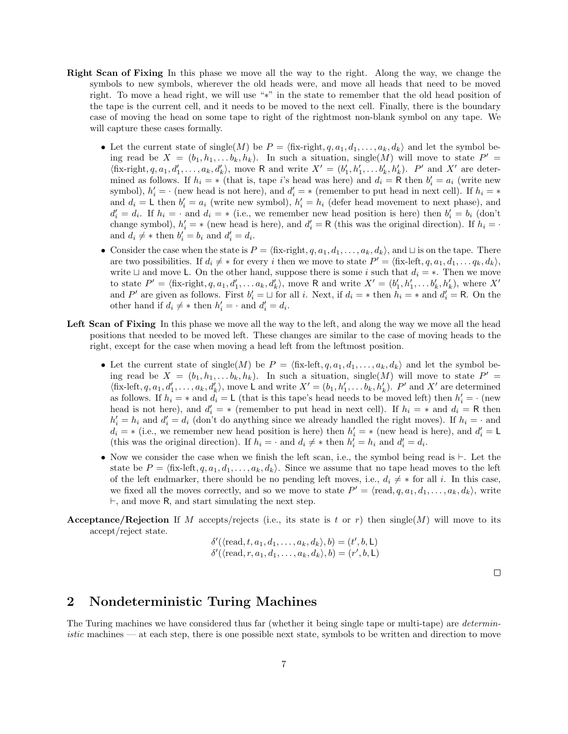- Right Scan of Fixing In this phase we move all the way to the right. Along the way, we change the symbols to new symbols, wherever the old heads were, and move all heads that need to be moved right. To move a head right, we will use "∗" in the state to remember that the old head position of the tape is the current cell, and it needs to be moved to the next cell. Finally, there is the boundary case of moving the head on some tape to right of the rightmost non-blank symbol on any tape. We will capture these cases formally.
	- Let the current state of single(M) be  $P = \langle f_{xx} \cdot r \cdot i_{y} \cdot d_{1}, \dots, d_{k}, d_{k} \rangle$  and let the symbol being read be  $X = (b_1, h_1, \ldots b_k, h_k)$ . In such a situation, single(M) will move to state  $P' =$  $\langle$ fix-right, q, a<sub>1</sub>, d'<sub>1</sub>,..., a<sub>k</sub>, d'<sub>k</sub> $\rangle$ , move R and write  $X' = (b'_1, h'_1, \ldots, b'_k, h'_k)$ . P' and X' are determined as follows. If  $h_i = *$  (that is, tape i's head was here) and  $d_i = \mathsf{R}$  then  $b'_i = a_i$  (write new symbol),  $h'_i = \cdot$  (new head is not here), and  $d'_i = *$  (remember to put head in next cell). If  $h_i = *$ and  $d_i = L$  then  $b'_i = a_i$  (write new symbol),  $h'_i = h_i$  (defer head movement to next phase), and  $d'_i = d_i$ . If  $h_i = \cdot$  and  $d_i = *$  (i.e., we remember new head position is here) then  $b'_i = b_i$  (don't change symbol),  $h'_i = *$  (new head is here), and  $d'_i = \mathsf{R}$  (this was the original direction). If  $h_i = \cdot$ and  $d_i \neq *$  then  $b'_i = b_i$  and  $d'_i = d_i$ .
	- Consider the case when the state is  $P = \langle f_{i}^{x} \cdot f_{i}^{y}, q_{i}, d_{1}, \ldots, a_{k}, d_{k} \rangle$ , and  $\sqcup$  is on the tape. There are two possibilities. If  $d_i \neq *$  for every i then we move to state  $P' = \langle$  fix-left,  $q, a_1, d_1, \ldots q_k, d_k \rangle$ , write  $\Box$  and move L. On the other hand, suppose there is some i such that  $d_i = *$ . Then we move to state  $P' = \langle \text{fix-right}, q, a_1, d'_1, \dots a_k, d'_k \rangle$ , move R and write  $X' = (b'_1, h'_1, \dots b'_k, h'_k)$ , where  $X'$ and P' are given as follows. First  $b'_i = \sqcup$  for all i. Next, if  $d_i = *$  then  $h_i = *$  and  $d'_i = \mathsf{R}$ . On the other hand if  $d_i \neq *$  then  $h'_i = \cdot$  and  $d'_i = d_i$ .
- Left Scan of Fixing In this phase we move all the way to the left, and along the way we move all the head positions that needed to be moved left. These changes are similar to the case of moving heads to the right, except for the case when moving a head left from the leftmost position.
	- Let the current state of single(M) be  $P = \langle f_{i} \text{fix-left}, q, a_1, d_1, \ldots, a_k, d_k \rangle$  and let the symbol being read be  $X = (b_1, h_1, \ldots b_k, h_k)$ . In such a situation, single(M) will move to state  $P' =$  $\langle$ fix-left,  $q, a_1, d'_1, \ldots, a_k, d'_k \rangle$ , move L and write  $X' = (b_1, h'_1, \ldots, b_k, h'_k)$ . P' and X' are determined as follows. If  $h_i = *$  and  $d_i = L$  (that is this tape's head needs to be moved left) then  $h'_i = \cdot$  (new head is not here), and  $d_i' = *$  (remember to put head in next cell). If  $h_i = *$  and  $d_i = \mathsf{R}$  then  $h'_i = h_i$  and  $d'_i = d_i$  (don't do anything since we already handled the right moves). If  $h_i = \cdot$  and  $d_i = *$  (i.e., we remember new head position is here) then  $h'_i = *$  (new head is here), and  $d'_i = \mathsf{L}$ (this was the original direction). If  $h_i = \cdot$  and  $d_i \neq *$  then  $h'_i = h_i$  and  $d'_i = d_i$ .
	- Now we consider the case when we finish the left scan, i.e., the symbol being read is  $\vdash$ . Let the state be  $P = \langle$  fix-left,  $q, a_1, d_1, \ldots, a_k, d_k \rangle$ . Since we assume that no tape head moves to the left of the left endmarker, there should be no pending left moves, i.e.,  $d_i \neq *$  for all i. In this case, we fixed all the moves correctly, and so we move to state  $P' = \langle \text{read}, q, a_1, d_1, \ldots, a_k, d_k \rangle$ , write  $\vdash$ , and move R, and start simulating the next step.
- **Acceptance/Rejection** If M accepts/rejects (i.e., its state is t or r) then single(M) will move to its accept/reject state.

$$
\delta'(\langle \text{read}, t, a_1, d_1, \dots, a_k, d_k \rangle, b) = (t', b, L)
$$
  

$$
\delta'(\langle \text{read}, r, a_1, d_1, \dots, a_k, d_k \rangle, b) = (r', b, L)
$$

 $\Box$ 

### 2 Nondeterministic Turing Machines

The Turing machines we have considered thus far (whether it being single tape or multi-tape) are *determin*istic machines — at each step, there is one possible next state, symbols to be written and direction to move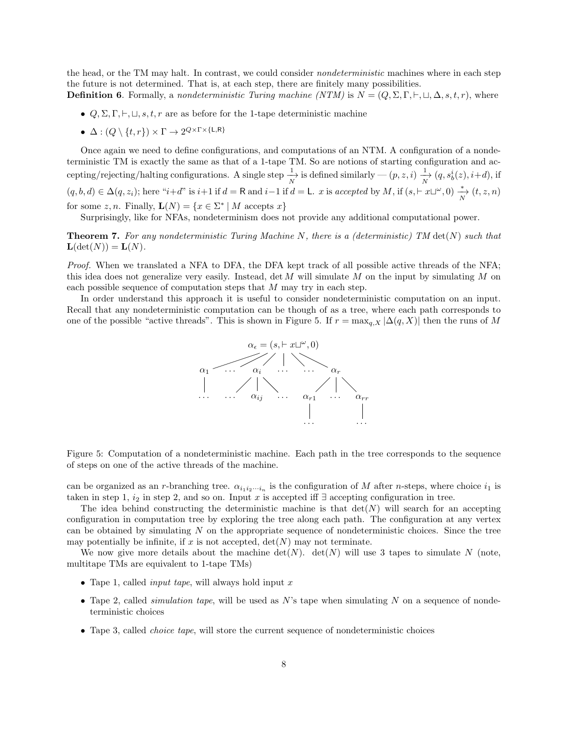the head, or the TM may halt. In contrast, we could consider *nondeterministic* machines where in each step the future is not determined. That is, at each step, there are finitely many possibilities. **Definition 6.** Formally, a nondeterministic Turing machine (NTM) is  $N = (Q, \Sigma, \Gamma, \vdash, \sqcup, \Delta, s, t, r)$ , where

- $Q, \Sigma, \Gamma, \vdash, \sqcup, s, t, r$  are as before for the 1-tape deterministic machine
- $\bullet\;\Delta:(Q\setminus\{t,r\})\times \Gamma\to 2^{Q\times \Gamma\times \{\mathsf{L},\mathsf{R}\}}$

Once again we need to define configurations, and computations of an NTM. A configuration of a nondeterministic TM is exactly the same as that of a 1-tape TM. So are notions of starting configuration and accepting/rejecting/halting configurations. A single step  $\frac{1}{N}$  is defined similarly —  $(p, z, i)$   $\frac{1}{N}$   $(q, s_0^i(z), i+d)$ , if  $(q, b, d) \in \Delta(q, z_i)$ ; here " $i+d$ " is  $i+1$  if  $d = \mathsf{R}$  and  $i-1$  if  $d = \mathsf{L}$ . x is accepted by M, if  $(s, \vdash x \sqcup^{\omega}, 0) \stackrel{*}{\underset{N}{\longrightarrow}} (t, z, n)$ for some z, n. Finally,  $\mathbf{L}(N) = \{x \in \Sigma^* | M \text{ accepts } x\}$ 

Surprisingly, like for NFAs, nondeterminism does not provide any additional computational power.

**Theorem 7.** For any nondeterministic Turing Machine N, there is a (deterministic) TM  $det(N)$  such that  $\mathbf{L}(\det(N)) = \mathbf{L}(N).$ 

Proof. When we translated a NFA to DFA, the DFA kept track of all possible active threads of the NFA; this idea does not generalize very easily. Instead, det  $M$  will simulate  $M$  on the input by simulating  $M$  on each possible sequence of computation steps that M may try in each step.

In order understand this approach it is useful to consider nondeterministic computation on an input. Recall that any nondeterministic computation can be though of as a tree, where each path corresponds to one of the possible "active threads". This is shown in Figure 5. If  $r = \max_{q,X} |\Delta(q,X)|$  then the runs of M



Figure 5: Computation of a nondeterministic machine. Each path in the tree corresponds to the sequence of steps on one of the active threads of the machine.

can be organized as an r-branching tree.  $\alpha_{i_1 i_2 \cdots i_n}$  is the configuration of M after n-steps, where choice  $i_1$  is taken in step 1,  $i_2$  in step 2, and so on. Input x is accepted iff ∃ accepting configuration in tree.

The idea behind constructing the deterministic machine is that  $det(N)$  will search for an accepting configuration in computation tree by exploring the tree along each path. The configuration at any vertex can be obtained by simulating  $N$  on the appropriate sequence of nondeterministic choices. Since the tree may potentially be infinite, if x is not accepted,  $\det(N)$  may not terminate.

We now give more details about the machine  $\det(N)$ .  $\det(N)$  will use 3 tapes to simulate N (note, multitape TMs are equivalent to 1-tape TMs)

- Tape 1, called *input tape*, will always hold input  $x$
- Tape 2, called *simulation tape*, will be used as  $N$ 's tape when simulating  $N$  on a sequence of nondeterministic choices
- Tape 3, called *choice tape*, will store the current sequence of nondeterministic choices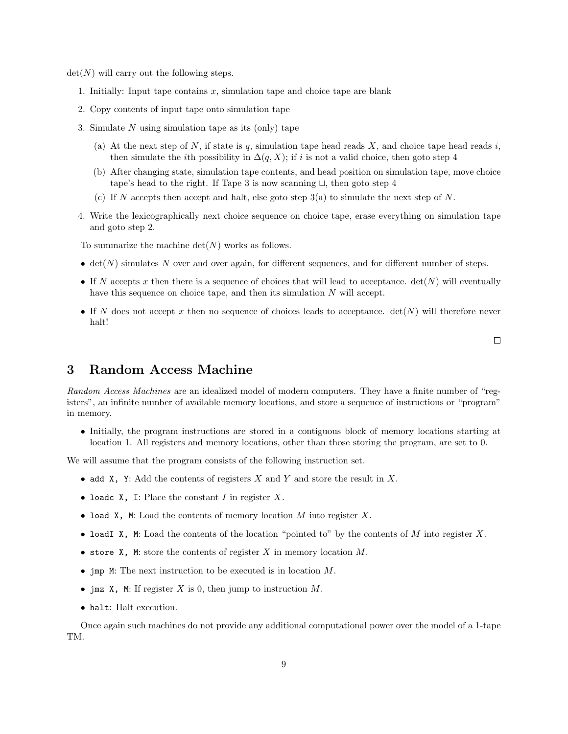$\det(N)$  will carry out the following steps.

- 1. Initially: Input tape contains  $x$ , simulation tape and choice tape are blank
- 2. Copy contents of input tape onto simulation tape
- 3. Simulate  $N$  using simulation tape as its (only) tape
	- (a) At the next step of  $N$ , if state is  $q$ , simulation tape head reads  $X$ , and choice tape head reads  $i$ , then simulate the *i*th possibility in  $\Delta(q, X)$ ; if *i* is not a valid choice, then goto step 4
	- (b) After changing state, simulation tape contents, and head position on simulation tape, move choice tape's head to the right. If Tape 3 is now scanning  $\sqcup$ , then goto step 4
	- (c) If N accepts then accept and halt, else goto step  $3(a)$  to simulate the next step of N.
- 4. Write the lexicographically next choice sequence on choice tape, erase everything on simulation tape and goto step 2.

To summarize the machine  $\det(N)$  works as follows.

- $\bullet$  det(N) simulates N over and over again, for different sequences, and for different number of steps.
- If N accepts x then there is a sequence of choices that will lead to acceptance.  $det(N)$  will eventually have this sequence on choice tape, and then its simulation N will accept.
- If N does not accept x then no sequence of choices leads to acceptance.  $det(N)$  will therefore never halt!

 $\Box$ 

## 3 Random Access Machine

Random Access Machines are an idealized model of modern computers. They have a finite number of "registers", an infinite number of available memory locations, and store a sequence of instructions or "program" in memory.

• Initially, the program instructions are stored in a contiguous block of memory locations starting at location 1. All registers and memory locations, other than those storing the program, are set to 0.

We will assume that the program consists of the following instruction set.

- add X, Y: Add the contents of registers X and Y and store the result in X.
- loadc  $X$ , I: Place the constant I in register  $X$ .
- load X, M: Load the contents of memory location  $M$  into register  $X$ .
- loadI X, M: Load the contents of the location "pointed to" by the contents of M into register X.
- store X, M: store the contents of register X in memory location  $M$ .
- jmp M: The next instruction to be executed is in location M.
- jmz X, M: If register X is 0, then jump to instruction  $M$ .
- halt: Halt execution.

Once again such machines do not provide any additional computational power over the model of a 1-tape TM.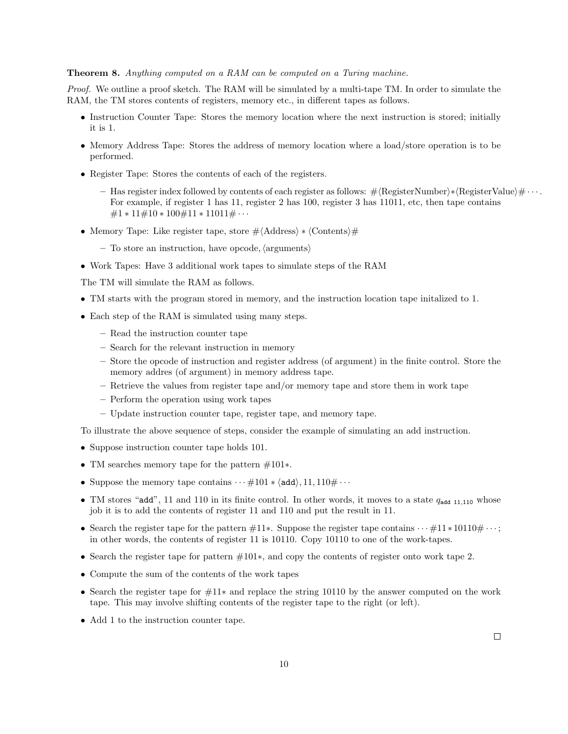#### Theorem 8. Anything computed on a RAM can be computed on a Turing machine.

Proof. We outline a proof sketch. The RAM will be simulated by a multi-tape TM. In order to simulate the RAM, the TM stores contents of registers, memory etc., in different tapes as follows.

- Instruction Counter Tape: Stores the memory location where the next instruction is stored; initially it is 1.
- Memory Address Tape: Stores the address of memory location where a load/store operation is to be performed.
- Register Tape: Stores the contents of each of the registers.
	- $-$  Has register index followed by contents of each register as follows:  $\#$  (RegisterNumber)∗ (RegisterValue) $\# \cdots$ . For example, if register 1 has 11, register 2 has 100, register 3 has 11011, etc, then tape contains  $\#1 * 11 \# 10 * 100 \# 11 * 11011 \# \cdots$
- Memory Tape: Like register tape, store  $\# \langle \text{Address} \rangle * \langle \text{Contents} \rangle \#$ 
	- $-$  To store an instruction, have opcode,  $\langle$  arguments $\rangle$
- Work Tapes: Have 3 additional work tapes to simulate steps of the RAM

The TM will simulate the RAM as follows.

- TM starts with the program stored in memory, and the instruction location tape initalized to 1.
- Each step of the RAM is simulated using many steps.
	- Read the instruction counter tape
	- Search for the relevant instruction in memory
	- Store the opcode of instruction and register address (of argument) in the finite control. Store the memory addres (of argument) in memory address tape.
	- Retrieve the values from register tape and/or memory tape and store them in work tape
	- Perform the operation using work tapes
	- Update instruction counter tape, register tape, and memory tape.

To illustrate the above sequence of steps, consider the example of simulating an add instruction.

- Suppose instruction counter tape holds 101.
- TM searches memory tape for the pattern #101∗.
- Suppose the memory tape contains  $\cdots \# 101 * \langle \text{add} \rangle, 11, 110 \# \cdots$
- TM stores "add", 11 and 110 in its finite control. In other words, it moves to a state  $q_{\text{add 11,110}}$  whose job it is to add the contents of register 11 and 110 and put the result in 11.
- Search the register tape for the pattern  $\#11*$ . Suppose the register tape contains  $\cdots \#11*10110\#\cdots$ ; in other words, the contents of register 11 is 10110. Copy 10110 to one of the work-tapes.
- Search the register tape for pattern #101∗, and copy the contents of register onto work tape 2.
- Compute the sum of the contents of the work tapes
- Search the register tape for #11∗ and replace the string 10110 by the answer computed on the work tape. This may involve shifting contents of the register tape to the right (or left).
- Add 1 to the instruction counter tape.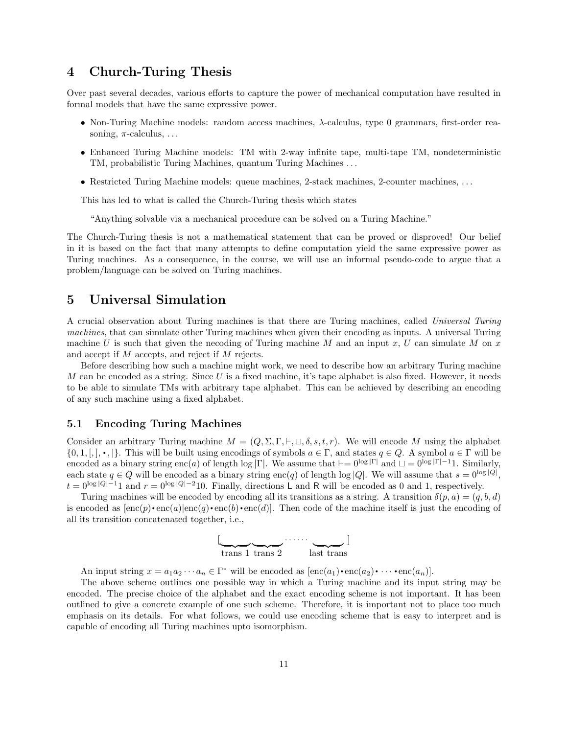### 4 Church-Turing Thesis

Over past several decades, various efforts to capture the power of mechanical computation have resulted in formal models that have the same expressive power.

- Non-Turing Machine models: random access machines,  $\lambda$ -calculus, type 0 grammars, first-order reasoning,  $\pi$ -calculus, ...
- Enhanced Turing Machine models: TM with 2-way infinite tape, multi-tape TM, nondeterministic TM, probabilistic Turing Machines, quantum Turing Machines . . .
- Restricted Turing Machine models: queue machines, 2-stack machines, 2-counter machines, ...

This has led to what is called the Church-Turing thesis which states

"Anything solvable via a mechanical procedure can be solved on a Turing Machine."

The Church-Turing thesis is not a mathematical statement that can be proved or disproved! Our belief in it is based on the fact that many attempts to define computation yield the same expressive power as Turing machines. As a consequence, in the course, we will use an informal pseudo-code to argue that a problem/language can be solved on Turing machines.

### 5 Universal Simulation

A crucial observation about Turing machines is that there are Turing machines, called Universal Turing machines, that can simulate other Turing machines when given their encoding as inputs. A universal Turing machine U is such that given the necoding of Turing machine M and an input x, U can simulate M on x and accept if M accepts, and reject if M rejects.

Before describing how such a machine might work, we need to describe how an arbitrary Turing machine M can be encoded as a string. Since U is a fixed machine, it's tape alphabet is also fixed. However, it needs to be able to simulate TMs with arbitrary tape alphabet. This can be achieved by describing an encoding of any such machine using a fixed alphabet.

#### 5.1 Encoding Turing Machines

Consider an arbitrary Turing machine  $M = (Q, \Sigma, \Gamma, \vdash, \sqcup, \delta, s, t, r)$ . We will encode M using the alphabet {0, 1, [, ], •, [}. This will be built using encodings of symbols  $a \in \Gamma$ , and states  $q \in Q$ . A symbol  $a \in \Gamma$  will be encoded as a binary string enc(a) of length log |Γ|. We assume that  $\vdash = 0^{\log |\Gamma|}$  and  $\sqcup = 0^{\log |\Gamma| - 1}$ . Similarly, each state  $q \in Q$  will be encoded as a binary string enc(q) of length log |Q|. We will assume that  $s = 0^{\log |Q|}$ ,  $t = 0^{\log |Q| - 1}$  and  $r = 0^{\log |Q| - 2}$  is Finally, directions L and R will be encoded as 0 and 1, respectively.

Turing machines will be encoded by encoding all its transitions as a string. A transition  $\delta(p, a) = (q, b, d)$ is encoded as  $[enc(p)\cdot enc(a)]enc(q)\cdot enc(b)\cdot enc(d)]$ . Then code of the machine itself is just the encoding of all its transition concatenated together, i.e.,



An input string  $x = a_1 a_2 \cdots a_n \in \Gamma^*$  will be encoded as  $[\text{enc}(a_1) \cdot \text{enc}(a_2) \cdot \cdots \cdot \text{enc}(a_n)].$ 

The above scheme outlines one possible way in which a Turing machine and its input string may be encoded. The precise choice of the alphabet and the exact encoding scheme is not important. It has been outlined to give a concrete example of one such scheme. Therefore, it is important not to place too much emphasis on its details. For what follows, we could use encoding scheme that is easy to interpret and is capable of encoding all Turing machines upto isomorphism.